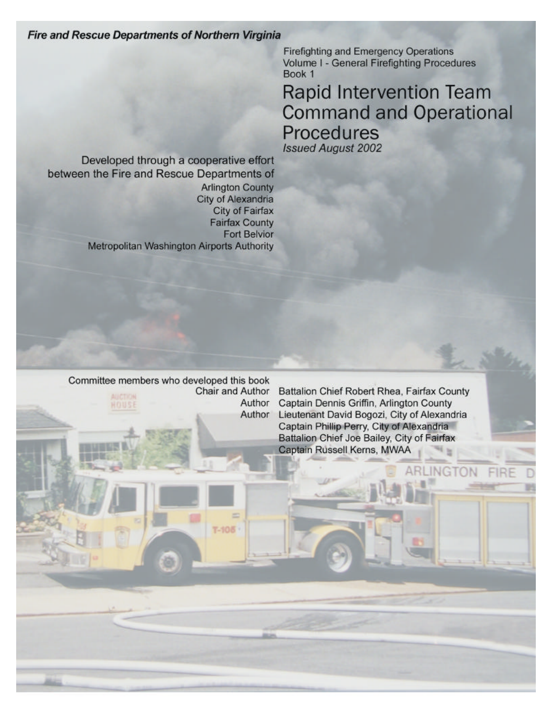**Fire and Rescue Departments of Northern Virginia** 

**Firefighting and Emergency Operations** Volume I - General Firefighting Procedures Book 1

**Rapid Intervention Team Command and Operational** Procedures **Issued August 2002** 

Developed through a cooperative effort between the Fire and Rescue Departments of **Arlington County City of Alexandria** City of Fairfax **Fairfax County Fort Belvior** Metropolitan Washington Airports Authority

Committee members who developed this book Chair and Author Author HOUSE Author

 $T-100$ 

Battalion Chief Robert Rhea, Fairfax County Captain Dennis Griffin, Arlington County Lieutenant David Bogozi, City of Alexandria Captain Phillip Perry, City of Alexandria Battalion Chief Joe Bailey, City of Fairfax Captain Russell Kerns, MWAA

INGTON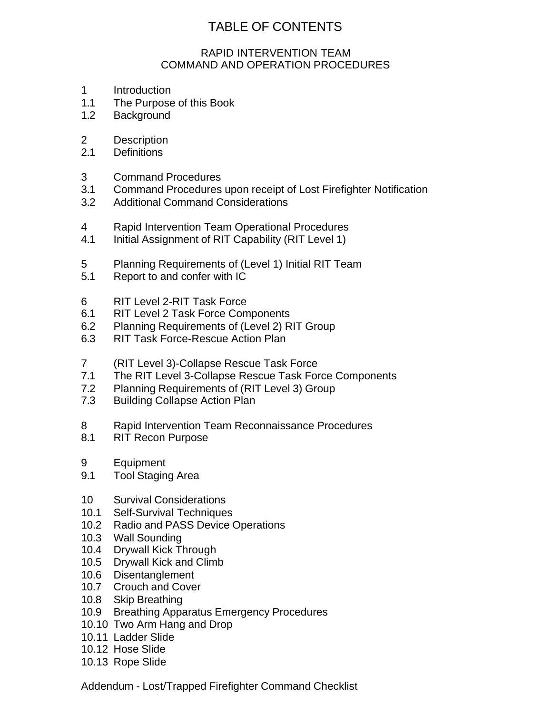# TABLE OF CONTENTS

#### RAPID INTERVENTION TEAM COMMAND AND OPERATION PROCEDURES

- 1 Introduction
- 1.1 The Purpose of this Book
- 1.2 Background
- 2 Description
- 2.1 Definitions
- 3 Command Procedures
- 3.1 Command Procedures upon receipt of Lost Firefighter Notification
- 3.2 Additional Command Considerations
- 4 Rapid Intervention Team Operational Procedures
- 4.1 Initial Assignment of RIT Capability (RIT Level 1)
- 5 Planning Requirements of (Level 1) Initial RIT Team
- 5.1 Report to and confer with IC
- 6 RIT Level 2-RIT Task Force
- 6.1 RIT Level 2 Task Force Components
- 6.2 Planning Requirements of (Level 2) RIT Group
- 6.3 RIT Task Force-Rescue Action Plan
- 7 (RIT Level 3)-Collapse Rescue Task Force
- 7.1 The RIT Level 3-Collapse Rescue Task Force Components
- 7.2 Planning Requirements of (RIT Level 3) Group
- 7.3 Building Collapse Action Plan
- 8 Rapid Intervention Team Reconnaissance Procedures
- 8.1 RIT Recon Purpose
- 9 Equipment
- 9.1 Tool Staging Area
- 10 Survival Considerations
- 10.1 Self-Survival Techniques
- 10.2 Radio and PASS Device Operations
- 10.3 Wall Sounding
- 10.4 Drywall Kick Through
- 10.5 Drywall Kick and Climb
- 10.6 Disentanglement
- 10.7 Crouch and Cover
- 10.8 Skip Breathing
- 10.9 Breathing Apparatus Emergency Procedures
- 10.10 Two Arm Hang and Drop
- 10.11 Ladder Slide
- 10.12 Hose Slide
- 10.13 Rope Slide

Addendum - Lost/Trapped Firefighter Command Checklist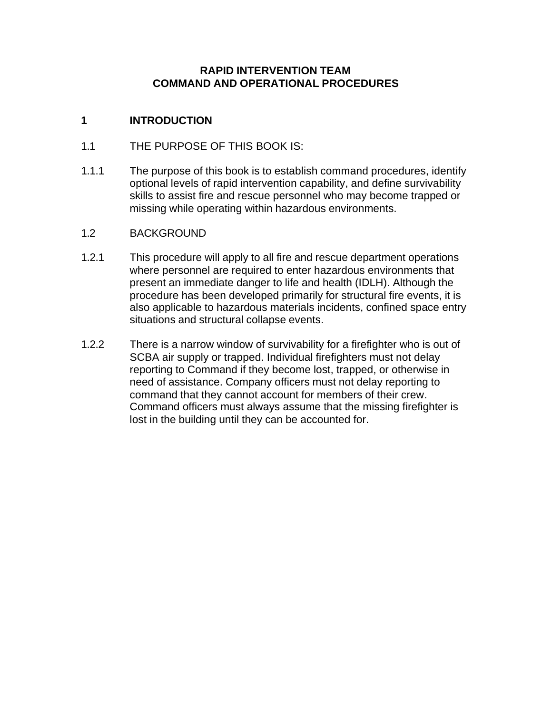#### **RAPID INTERVENTION TEAM COMMAND AND OPERATIONAL PROCEDURES**

### **1 INTRODUCTION**

- 1.1 THE PURPOSE OF THIS BOOK IS:
- 1.1.1 The purpose of this book is to establish command procedures, identify optional levels of rapid intervention capability, and define survivability skills to assist fire and rescue personnel who may become trapped or missing while operating within hazardous environments.
- 1.2 BACKGROUND
- 1.2.1 This procedure will apply to all fire and rescue department operations where personnel are required to enter hazardous environments that present an immediate danger to life and health (IDLH). Although the procedure has been developed primarily for structural fire events, it is also applicable to hazardous materials incidents, confined space entry situations and structural collapse events.
- 1.2.2 There is a narrow window of survivability for a firefighter who is out of SCBA air supply or trapped. Individual firefighters must not delay reporting to Command if they become lost, trapped, or otherwise in need of assistance. Company officers must not delay reporting to command that they cannot account for members of their crew. Command officers must always assume that the missing firefighter is lost in the building until they can be accounted for.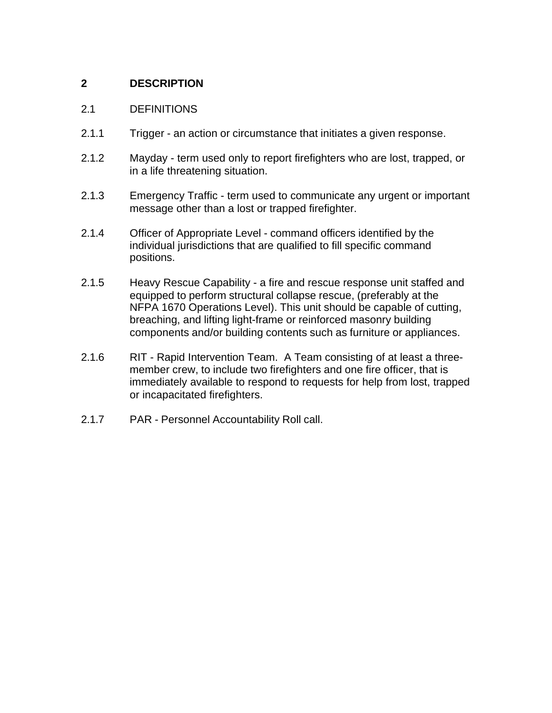### **2 DESCRIPTION**

#### 2.1 DEFINITIONS

- 2.1.1 Trigger an action or circumstance that initiates a given response.
- 2.1.2 Mayday term used only to report firefighters who are lost, trapped, or in a life threatening situation.
- 2.1.3 Emergency Traffic term used to communicate any urgent or important message other than a lost or trapped firefighter.
- 2.1.4 Officer of Appropriate Level command officers identified by the individual jurisdictions that are qualified to fill specific command positions.
- 2.1.5 Heavy Rescue Capability a fire and rescue response unit staffed and equipped to perform structural collapse rescue, (preferably at the NFPA 1670 Operations Level). This unit should be capable of cutting, breaching, and lifting light-frame or reinforced masonry building components and/or building contents such as furniture or appliances.
- 2.1.6 RIT Rapid Intervention Team. A Team consisting of at least a threemember crew, to include two firefighters and one fire officer, that is immediately available to respond to requests for help from lost, trapped or incapacitated firefighters.
- 2.1.7 PAR Personnel Accountability Roll call.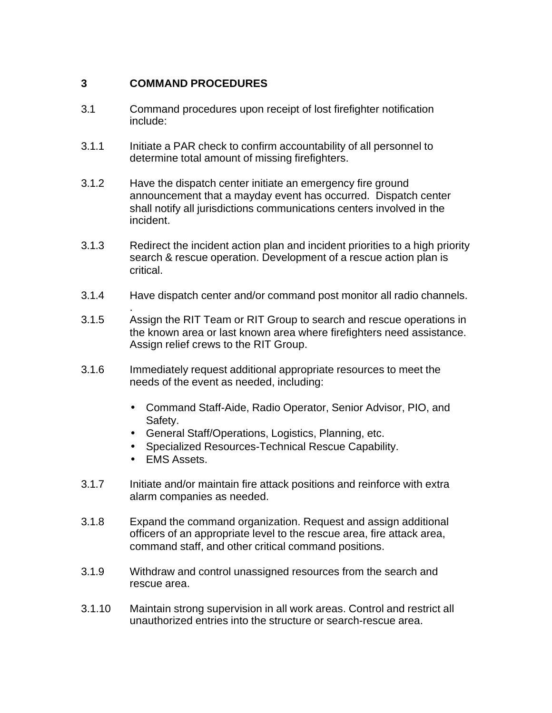### **3 COMMAND PROCEDURES**

- 3.1 Command procedures upon receipt of lost firefighter notification include:
- 3.1.1 Initiate a PAR check to confirm accountability of all personnel to determine total amount of missing firefighters.
- 3.1.2 Have the dispatch center initiate an emergency fire ground announcement that a mayday event has occurred. Dispatch center shall notify all jurisdictions communications centers involved in the incident.
- 3.1.3 Redirect the incident action plan and incident priorities to a high priority search & rescue operation. Development of a rescue action plan is critical.
- 3.1.4 Have dispatch center and/or command post monitor all radio channels.
- . 3.1.5 Assign the RIT Team or RIT Group to search and rescue operations in the known area or last known area where firefighters need assistance. Assign relief crews to the RIT Group.
- 3.1.6 Immediately request additional appropriate resources to meet the needs of the event as needed, including:
	- Command Staff-Aide, Radio Operator, Senior Advisor, PIO, and Safety.
	- General Staff/Operations, Logistics, Planning, etc.
	- Specialized Resources-Technical Rescue Capability.
	- EMS Assets.
- 3.1.7 Initiate and/or maintain fire attack positions and reinforce with extra alarm companies as needed.
- 3.1.8 Expand the command organization. Request and assign additional officers of an appropriate level to the rescue area, fire attack area, command staff, and other critical command positions.
- 3.1.9 Withdraw and control unassigned resources from the search and rescue area.
- 3.1.10 Maintain strong supervision in all work areas. Control and restrict all unauthorized entries into the structure or search-rescue area.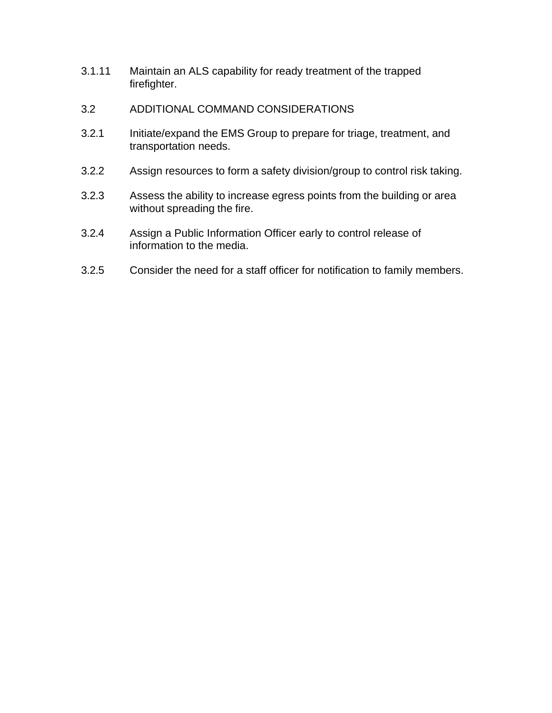- 3.1.11 Maintain an ALS capability for ready treatment of the trapped firefighter.
- 3.2 ADDITIONAL COMMAND CONSIDERATIONS
- 3.2.1 Initiate/expand the EMS Group to prepare for triage, treatment, and transportation needs.
- 3.2.2 Assign resources to form a safety division/group to control risk taking.
- 3.2.3 Assess the ability to increase egress points from the building or area without spreading the fire.
- 3.2.4 Assign a Public Information Officer early to control release of information to the media.
- 3.2.5 Consider the need for a staff officer for notification to family members.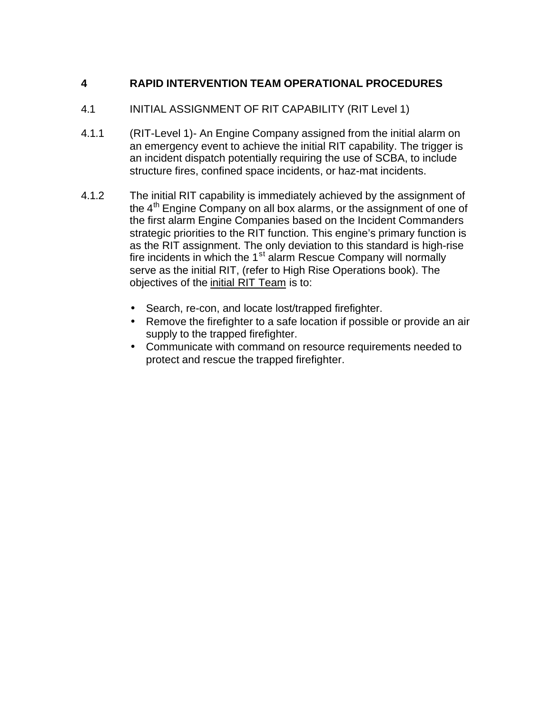# **4 RAPID INTERVENTION TEAM OPERATIONAL PROCEDURES**

- 4.1 INITIAL ASSIGNMENT OF RIT CAPABILITY (RIT Level 1)
- 4.1.1 (RIT-Level 1)- An Engine Company assigned from the initial alarm on an emergency event to achieve the initial RIT capability. The trigger is an incident dispatch potentially requiring the use of SCBA, to include structure fires, confined space incidents, or haz-mat incidents.
- 4.1.2 The initial RIT capability is immediately achieved by the assignment of the  $4<sup>th</sup>$  Engine Company on all box alarms, or the assignment of one of the first alarm Engine Companies based on the Incident Commanders strategic priorities to the RIT function. This engine's primary function is as the RIT assignment. The only deviation to this standard is high-rise fire incidents in which the  $1<sup>st</sup>$  alarm Rescue Company will normally serve as the initial RIT, (refer to High Rise Operations book). The objectives of the initial RIT Team is to:
	- Search, re-con, and locate lost/trapped firefighter.
	- Remove the firefighter to a safe location if possible or provide an air supply to the trapped firefighter.
	- Communicate with command on resource requirements needed to protect and rescue the trapped firefighter.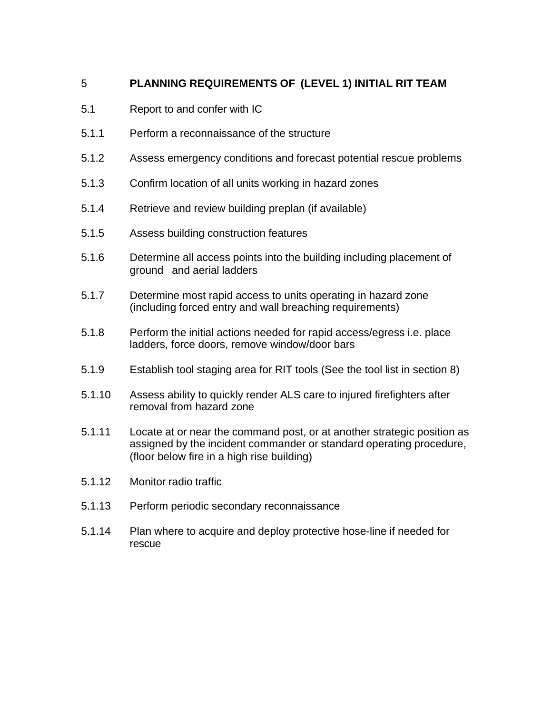# 5 **PLANNING REQUIREMENTS OF (LEVEL 1) INITIAL RIT TEAM**

- 5.1 Report to and confer with IC
- 5.1.1 Perform a reconnaissance of the structure
- 5.1.2 Assess emergency conditions and forecast potential rescue problems
- 5.1.3 Confirm location of all units working in hazard zones
- 5.1.4 Retrieve and review building preplan (if available)
- 5.1.5 Assess building construction features
- 5.1.6 Determine all access points into the building including placement of ground and aerial ladders
- 5.1.7 Determine most rapid access to units operating in hazard zone (including forced entry and wall breaching requirements)
- 5.1.8 Perform the initial actions needed for rapid access/egress i.e. place ladders, force doors, remove window/door bars
- 5.1.9 Establish tool staging area for RIT tools (See the tool list in section 8)
- 5.1.10 Assess ability to quickly render ALS care to injured firefighters after removal from hazard zone
- 5.1.11 Locate at or near the command post, or at another strategic position as assigned by the incident commander or standard operating procedure, (floor below fire in a high rise building)
- 5.1.12 Monitor radio traffic
- 5.1.13 Perform periodic secondary reconnaissance
- 5.1.14 Plan where to acquire and deploy protective hose-line if needed for rescue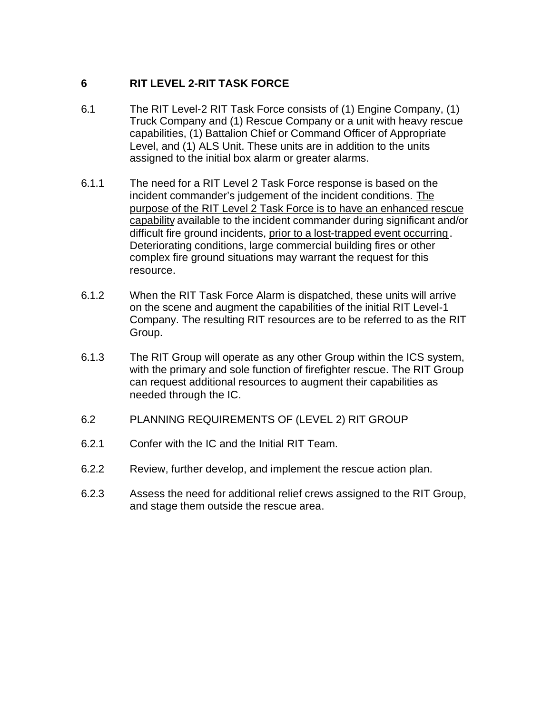# **6 RIT LEVEL 2-RIT TASK FORCE**

- 6.1 The RIT Level-2 RIT Task Force consists of (1) Engine Company, (1) Truck Company and (1) Rescue Company or a unit with heavy rescue capabilities, (1) Battalion Chief or Command Officer of Appropriate Level, and (1) ALS Unit. These units are in addition to the units assigned to the initial box alarm or greater alarms.
- 6.1.1 The need for a RIT Level 2 Task Force response is based on the incident commander's judgement of the incident conditions. The purpose of the RIT Level 2 Task Force is to have an enhanced rescue capability available to the incident commander during significant and/or difficult fire ground incidents, prior to a lost-trapped event occurring. Deteriorating conditions, large commercial building fires or other complex fire ground situations may warrant the request for this resource.
- 6.1.2 When the RIT Task Force Alarm is dispatched, these units will arrive on the scene and augment the capabilities of the initial RIT Level-1 Company. The resulting RIT resources are to be referred to as the RIT Group.
- 6.1.3 The RIT Group will operate as any other Group within the ICS system, with the primary and sole function of firefighter rescue. The RIT Group can request additional resources to augment their capabilities as needed through the IC.
- 6.2 PLANNING REQUIREMENTS OF (LEVEL 2) RIT GROUP
- 6.2.1 Confer with the IC and the Initial RIT Team.
- 6.2.2 Review, further develop, and implement the rescue action plan.
- 6.2.3 Assess the need for additional relief crews assigned to the RIT Group, and stage them outside the rescue area.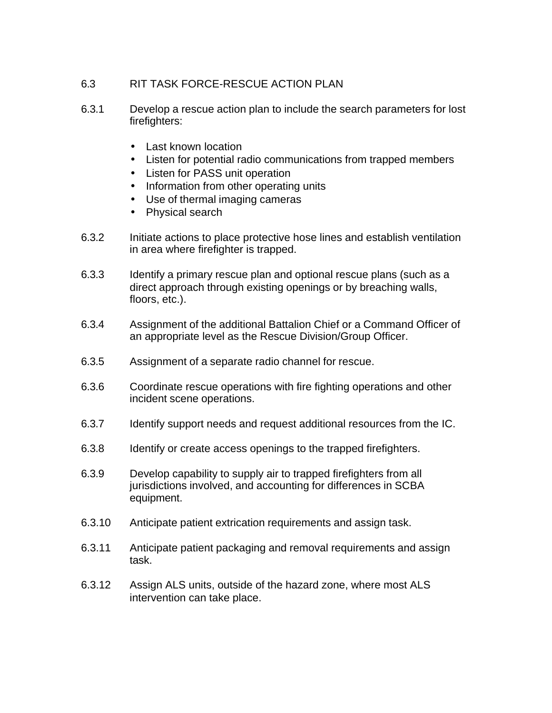### 6.3 RIT TASK FORCE-RESCUE ACTION PLAN

- 6.3.1 Develop a rescue action plan to include the search parameters for lost firefighters:
	- Last known location
	- Listen for potential radio communications from trapped members
	- Listen for PASS unit operation
	- Information from other operating units
	- Use of thermal imaging cameras
	- Physical search
- 6.3.2 Initiate actions to place protective hose lines and establish ventilation in area where firefighter is trapped.
- 6.3.3 Identify a primary rescue plan and optional rescue plans (such as a direct approach through existing openings or by breaching walls, floors, etc.).
- 6.3.4 Assignment of the additional Battalion Chief or a Command Officer of an appropriate level as the Rescue Division/Group Officer.
- 6.3.5 Assignment of a separate radio channel for rescue.
- 6.3.6 Coordinate rescue operations with fire fighting operations and other incident scene operations.
- 6.3.7 Identify support needs and request additional resources from the IC.
- 6.3.8 Identify or create access openings to the trapped firefighters.
- 6.3.9 Develop capability to supply air to trapped firefighters from all jurisdictions involved, and accounting for differences in SCBA equipment.
- 6.3.10 Anticipate patient extrication requirements and assign task.
- 6.3.11 Anticipate patient packaging and removal requirements and assign task.
- 6.3.12 Assign ALS units, outside of the hazard zone, where most ALS intervention can take place.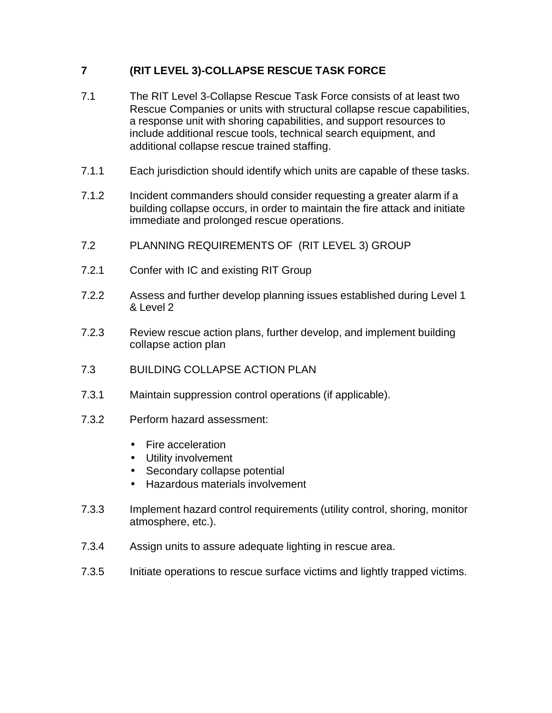# **7 (RIT LEVEL 3)-COLLAPSE RESCUE TASK FORCE**

- 7.1 The RIT Level 3-Collapse Rescue Task Force consists of at least two Rescue Companies or units with structural collapse rescue capabilities, a response unit with shoring capabilities, and support resources to include additional rescue tools, technical search equipment, and additional collapse rescue trained staffing.
- 7.1.1 Each jurisdiction should identify which units are capable of these tasks.
- 7.1.2 Incident commanders should consider requesting a greater alarm if a building collapse occurs, in order to maintain the fire attack and initiate immediate and prolonged rescue operations.
- 7.2 PLANNING REQUIREMENTS OF (RIT LEVEL 3) GROUP
- 7.2.1 Confer with IC and existing RIT Group
- 7.2.2 Assess and further develop planning issues established during Level 1 & Level 2
- 7.2.3 Review rescue action plans, further develop, and implement building collapse action plan
- 7.3 BUILDING COLLAPSE ACTION PLAN
- 7.3.1 Maintain suppression control operations (if applicable).
- 7.3.2 Perform hazard assessment:
	- Fire acceleration
	- Utility involvement
	- Secondary collapse potential
	- Hazardous materials involvement
- 7.3.3 Implement hazard control requirements (utility control, shoring, monitor atmosphere, etc.).
- 7.3.4 Assign units to assure adequate lighting in rescue area.
- 7.3.5 Initiate operations to rescue surface victims and lightly trapped victims.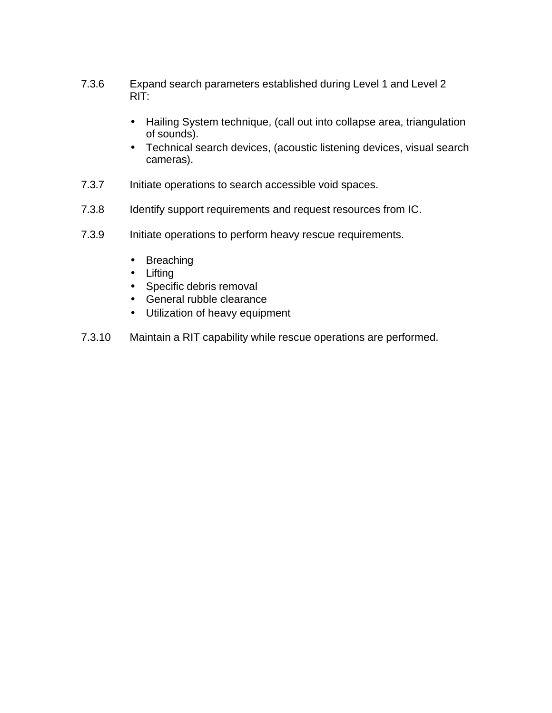- 7.3.6 Expand search parameters established during Level 1 and Level 2 RIT:
	- Hailing System technique, (call out into collapse area, triangulation of sounds).
	- Technical search devices, (acoustic listening devices, visual search cameras).
- 7.3.7 Initiate operations to search accessible void spaces.
- 7.3.8 Identify support requirements and request resources from IC.
- 7.3.9 Initiate operations to perform heavy rescue requirements.
	- Breaching
	- Lifting
	- Specific debris removal
	- General rubble clearance
	- Utilization of heavy equipment
- 7.3.10 Maintain a RIT capability while rescue operations are performed.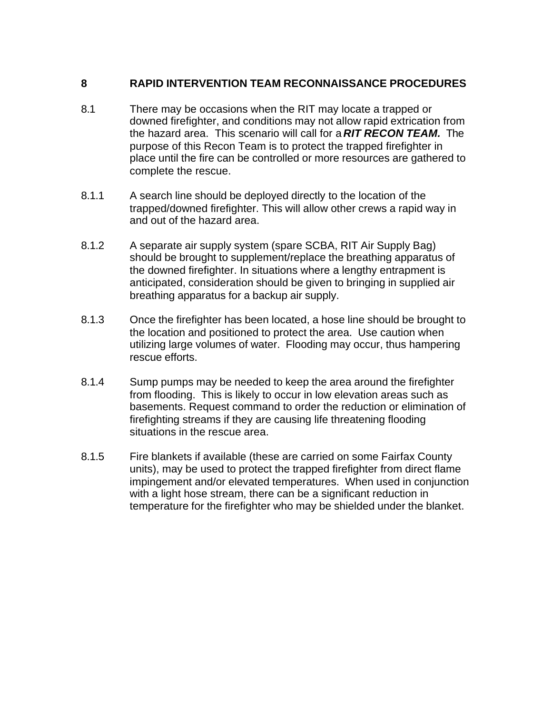### **8 RAPID INTERVENTION TEAM RECONNAISSANCE PROCEDURES**

- 8.1 There may be occasions when the RIT may locate a trapped or downed firefighter, and conditions may not allow rapid extrication from the hazard area. This scenario will call for a *RIT RECON TEAM.* The purpose of this Recon Team is to protect the trapped firefighter in place until the fire can be controlled or more resources are gathered to complete the rescue.
- 8.1.1 A search line should be deployed directly to the location of the trapped/downed firefighter. This will allow other crews a rapid way in and out of the hazard area.
- 8.1.2 A separate air supply system (spare SCBA, RIT Air Supply Bag) should be brought to supplement/replace the breathing apparatus of the downed firefighter. In situations where a lengthy entrapment is anticipated, consideration should be given to bringing in supplied air breathing apparatus for a backup air supply.
- 8.1.3 Once the firefighter has been located, a hose line should be brought to the location and positioned to protect the area. Use caution when utilizing large volumes of water. Flooding may occur, thus hampering rescue efforts.
- 8.1.4 Sump pumps may be needed to keep the area around the firefighter from flooding. This is likely to occur in low elevation areas such as basements. Request command to order the reduction or elimination of firefighting streams if they are causing life threatening flooding situations in the rescue area.
- 8.1.5 Fire blankets if available (these are carried on some Fairfax County units), may be used to protect the trapped firefighter from direct flame impingement and/or elevated temperatures. When used in conjunction with a light hose stream, there can be a significant reduction in temperature for the firefighter who may be shielded under the blanket.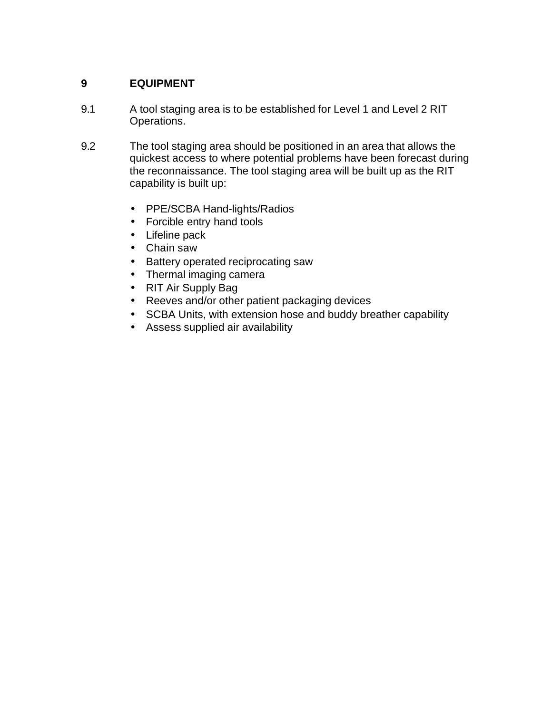### **9 EQUIPMENT**

- 9.1 A tool staging area is to be established for Level 1 and Level 2 RIT Operations.
- 9.2 The tool staging area should be positioned in an area that allows the quickest access to where potential problems have been forecast during the reconnaissance. The tool staging area will be built up as the RIT capability is built up:
	- PPE/SCBA Hand-lights/Radios
	- Forcible entry hand tools
	- Lifeline pack
	- Chain saw
	- Battery operated reciprocating saw
	- Thermal imaging camera
	- RIT Air Supply Bag
	- Reeves and/or other patient packaging devices
	- SCBA Units, with extension hose and buddy breather capability
	- Assess supplied air availability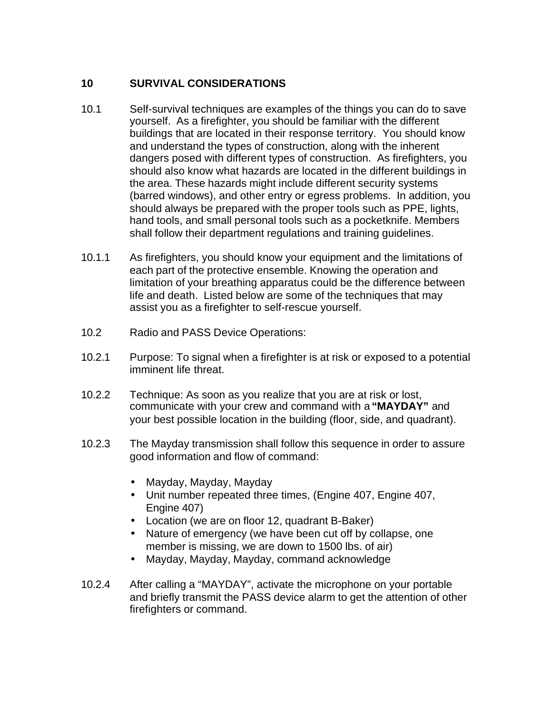### **10 SURVIVAL CONSIDERATIONS**

- 10.1 Self-survival techniques are examples of the things you can do to save yourself. As a firefighter, you should be familiar with the different buildings that are located in their response territory. You should know and understand the types of construction, along with the inherent dangers posed with different types of construction. As firefighters, you should also know what hazards are located in the different buildings in the area. These hazards might include different security systems (barred windows), and other entry or egress problems. In addition, you should always be prepared with the proper tools such as PPE, lights, hand tools, and small personal tools such as a pocketknife. Members shall follow their department regulations and training guidelines.
- 10.1.1 As firefighters, you should know your equipment and the limitations of each part of the protective ensemble. Knowing the operation and limitation of your breathing apparatus could be the difference between life and death. Listed below are some of the techniques that may assist you as a firefighter to self-rescue yourself.
- 10.2 Radio and PASS Device Operations:
- 10.2.1 Purpose: To signal when a firefighter is at risk or exposed to a potential imminent life threat.
- 10.2.2 Technique: As soon as you realize that you are at risk or lost, communicate with your crew and command with a **"MAYDAY"** and your best possible location in the building (floor, side, and quadrant).
- 10.2.3 The Mayday transmission shall follow this sequence in order to assure good information and flow of command:
	- Mayday, Mayday, Mayday
	- Unit number repeated three times, (Engine 407, Engine 407, Engine 407)
	- Location (we are on floor 12, quadrant B-Baker)
	- Nature of emergency (we have been cut off by collapse, one member is missing, we are down to 1500 lbs. of air)
	- Mayday, Mayday, Mayday, command acknowledge
- 10.2.4 After calling a "MAYDAY", activate the microphone on your portable and briefly transmit the PASS device alarm to get the attention of other firefighters or command.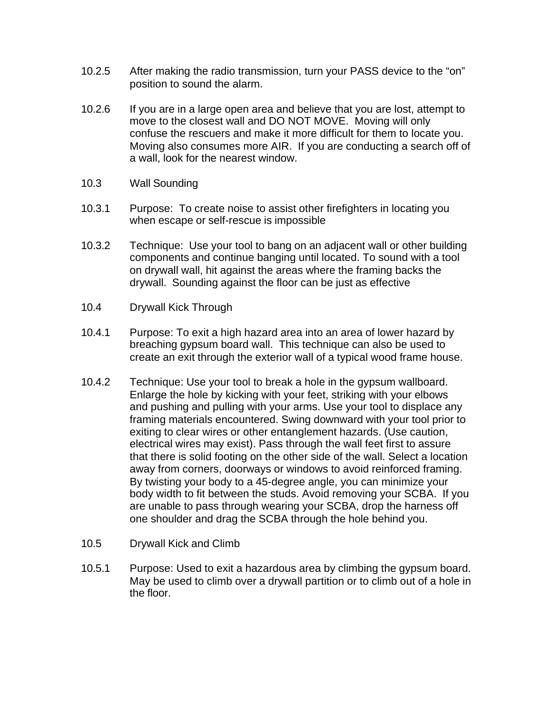- 10.2.5 After making the radio transmission, turn your PASS device to the "on" position to sound the alarm.
- 10.2.6 If you are in a large open area and believe that you are lost, attempt to move to the closest wall and DO NOT MOVE. Moving will only confuse the rescuers and make it more difficult for them to locate you. Moving also consumes more AIR. If you are conducting a search off of a wall, look for the nearest window.
- 10.3 Wall Sounding
- 10.3.1 Purpose: To create noise to assist other firefighters in locating you when escape or self-rescue is impossible
- 10.3.2 Technique: Use your tool to bang on an adjacent wall or other building components and continue banging until located. To sound with a tool on drywall wall, hit against the areas where the framing backs the drywall. Sounding against the floor can be just as effective
- 10.4 Drywall Kick Through
- 10.4.1 Purpose: To exit a high hazard area into an area of lower hazard by breaching gypsum board wall. This technique can also be used to create an exit through the exterior wall of a typical wood frame house.
- 10.4.2 Technique: Use your tool to break a hole in the gypsum wallboard. Enlarge the hole by kicking with your feet, striking with your elbows and pushing and pulling with your arms. Use your tool to displace any framing materials encountered. Swing downward with your tool prior to exiting to clear wires or other entanglement hazards. (Use caution, electrical wires may exist). Pass through the wall feet first to assure that there is solid footing on the other side of the wall. Select a location away from corners, doorways or windows to avoid reinforced framing. By twisting your body to a 45-degree angle, you can minimize your body width to fit between the studs. Avoid removing your SCBA. If you are unable to pass through wearing your SCBA, drop the harness off one shoulder and drag the SCBA through the hole behind you.
- 10.5 Drywall Kick and Climb
- 10.5.1 Purpose: Used to exit a hazardous area by climbing the gypsum board. May be used to climb over a drywall partition or to climb out of a hole in the floor.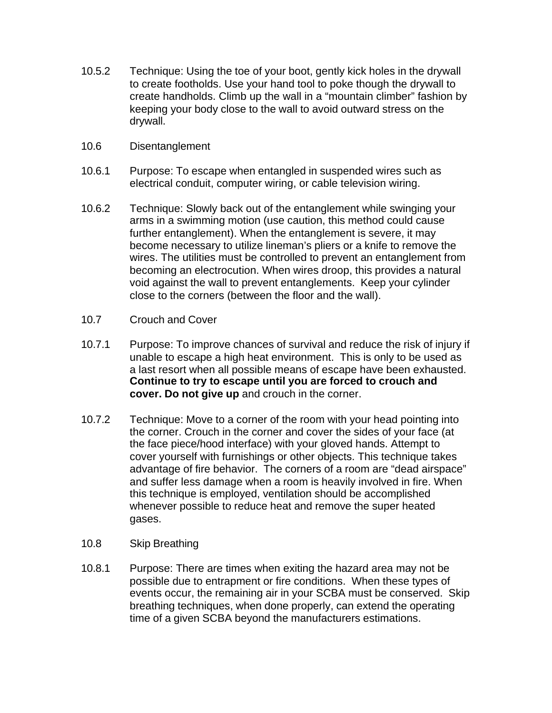- 10.5.2 Technique: Using the toe of your boot, gently kick holes in the drywall to create footholds. Use your hand tool to poke though the drywall to create handholds. Climb up the wall in a "mountain climber" fashion by keeping your body close to the wall to avoid outward stress on the drywall.
- 10.6 Disentanglement
- 10.6.1 Purpose: To escape when entangled in suspended wires such as electrical conduit, computer wiring, or cable television wiring.
- 10.6.2 Technique: Slowly back out of the entanglement while swinging your arms in a swimming motion (use caution, this method could cause further entanglement). When the entanglement is severe, it may become necessary to utilize lineman's pliers or a knife to remove the wires. The utilities must be controlled to prevent an entanglement from becoming an electrocution. When wires droop, this provides a natural void against the wall to prevent entanglements. Keep your cylinder close to the corners (between the floor and the wall).
- 10.7 Crouch and Cover
- 10.7.1 Purpose: To improve chances of survival and reduce the risk of injury if unable to escape a high heat environment. This is only to be used as a last resort when all possible means of escape have been exhausted. **Continue to try to escape until you are forced to crouch and cover. Do not give up** and crouch in the corner.
- 10.7.2 Technique: Move to a corner of the room with your head pointing into the corner. Crouch in the corner and cover the sides of your face (at the face piece/hood interface) with your gloved hands. Attempt to cover yourself with furnishings or other objects. This technique takes advantage of fire behavior. The corners of a room are "dead airspace" and suffer less damage when a room is heavily involved in fire. When this technique is employed, ventilation should be accomplished whenever possible to reduce heat and remove the super heated gases.
- 10.8 Skip Breathing
- 10.8.1 Purpose: There are times when exiting the hazard area may not be possible due to entrapment or fire conditions. When these types of events occur, the remaining air in your SCBA must be conserved. Skip breathing techniques, when done properly, can extend the operating time of a given SCBA beyond the manufacturers estimations.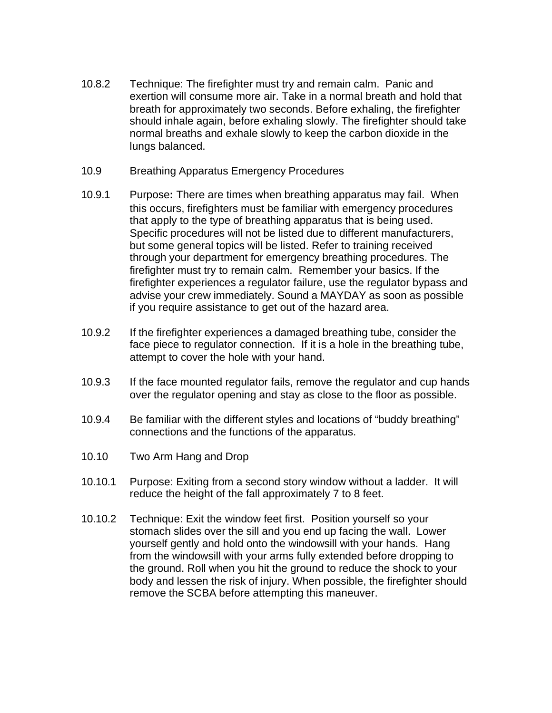- 10.8.2 Technique: The firefighter must try and remain calm. Panic and exertion will consume more air. Take in a normal breath and hold that breath for approximately two seconds. Before exhaling, the firefighter should inhale again, before exhaling slowly. The firefighter should take normal breaths and exhale slowly to keep the carbon dioxide in the lungs balanced.
- 10.9 Breathing Apparatus Emergency Procedures
- 10.9.1 Purpose**:** There are times when breathing apparatus may fail. When this occurs, firefighters must be familiar with emergency procedures that apply to the type of breathing apparatus that is being used. Specific procedures will not be listed due to different manufacturers, but some general topics will be listed. Refer to training received through your department for emergency breathing procedures. The firefighter must try to remain calm. Remember your basics. If the firefighter experiences a regulator failure, use the regulator bypass and advise your crew immediately. Sound a MAYDAY as soon as possible if you require assistance to get out of the hazard area.
- 10.9.2 If the firefighter experiences a damaged breathing tube, consider the face piece to regulator connection. If it is a hole in the breathing tube, attempt to cover the hole with your hand.
- 10.9.3 If the face mounted regulator fails, remove the regulator and cup hands over the regulator opening and stay as close to the floor as possible.
- 10.9.4 Be familiar with the different styles and locations of "buddy breathing" connections and the functions of the apparatus.
- 10.10 Two Arm Hang and Drop
- 10.10.1 Purpose: Exiting from a second story window without a ladder. It will reduce the height of the fall approximately 7 to 8 feet.
- 10.10.2 Technique: Exit the window feet first. Position yourself so your stomach slides over the sill and you end up facing the wall. Lower yourself gently and hold onto the windowsill with your hands. Hang from the windowsill with your arms fully extended before dropping to the ground. Roll when you hit the ground to reduce the shock to your body and lessen the risk of injury. When possible, the firefighter should remove the SCBA before attempting this maneuver.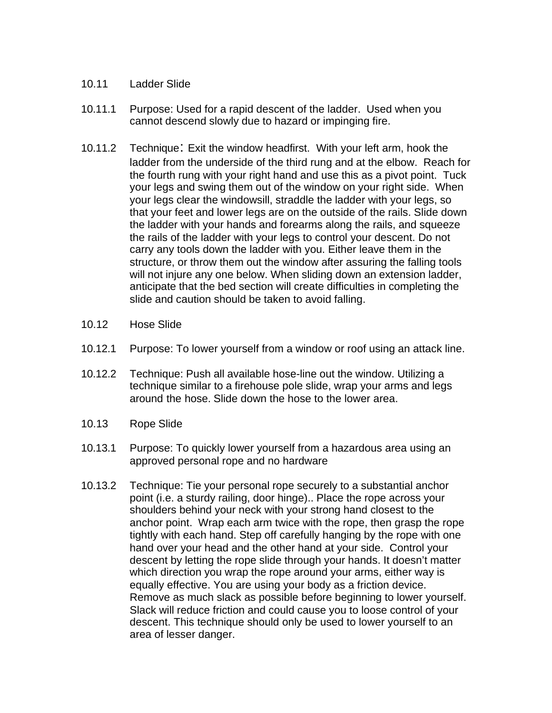- 10.11 Ladder Slide
- 10.11.1 Purpose: Used for a rapid descent of the ladder. Used when you cannot descend slowly due to hazard or impinging fire.
- 10.11.2 Technique: Exit the window headfirst. With your left arm, hook the ladder from the underside of the third rung and at the elbow. Reach for the fourth rung with your right hand and use this as a pivot point. Tuck your legs and swing them out of the window on your right side. When your legs clear the windowsill, straddle the ladder with your legs, so that your feet and lower legs are on the outside of the rails. Slide down the ladder with your hands and forearms along the rails, and squeeze the rails of the ladder with your legs to control your descent. Do not carry any tools down the ladder with you. Either leave them in the structure, or throw them out the window after assuring the falling tools will not injure any one below. When sliding down an extension ladder, anticipate that the bed section will create difficulties in completing the slide and caution should be taken to avoid falling.
- 10.12 Hose Slide
- 10.12.1 Purpose: To lower yourself from a window or roof using an attack line.
- 10.12.2 Technique: Push all available hose-line out the window. Utilizing a technique similar to a firehouse pole slide, wrap your arms and legs around the hose. Slide down the hose to the lower area.
- 10.13 Rope Slide
- 10.13.1 Purpose: To quickly lower yourself from a hazardous area using an approved personal rope and no hardware
- 10.13.2 Technique: Tie your personal rope securely to a substantial anchor point (i.e. a sturdy railing, door hinge).. Place the rope across your shoulders behind your neck with your strong hand closest to the anchor point. Wrap each arm twice with the rope, then grasp the rope tightly with each hand. Step off carefully hanging by the rope with one hand over your head and the other hand at your side. Control your descent by letting the rope slide through your hands. It doesn't matter which direction you wrap the rope around your arms, either way is equally effective. You are using your body as a friction device. Remove as much slack as possible before beginning to lower yourself. Slack will reduce friction and could cause you to loose control of your descent. This technique should only be used to lower yourself to an area of lesser danger.